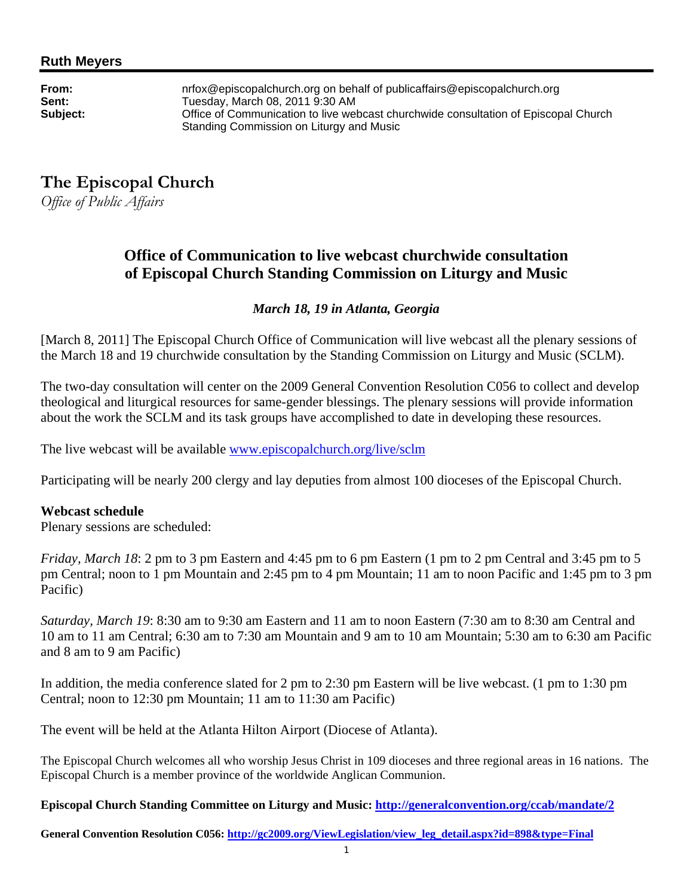**From:** nrfox@episcopalchurch.org on behalf of publicaffairs@episcopalchurch.org **Sent:** Tuesday, March 08, 2011 9:30 AM<br>**Subiect:** Chice of Communication to live wel **Subject:** Office of Communication to live webcast churchwide consultation of Episcopal Church Standing Commission on Liturgy and Music

# **The Episcopal Church**

*Office of Public Affairs* 

## **Office of Communication to live webcast churchwide consultation of Episcopal Church Standing Commission on Liturgy and Music**

### *March 18, 19 in Atlanta, Georgia*

[March 8, 2011] The Episcopal Church Office of Communication will live webcast all the plenary sessions of the March 18 and 19 churchwide consultation by the Standing Commission on Liturgy and Music (SCLM).

The two-day consultation will center on the 2009 General Convention Resolution C056 to collect and develop theological and liturgical resources for same-gender blessings. The plenary sessions will provide information about the work the SCLM and its task groups have accomplished to date in developing these resources.

The live webcast will be available www.episcopalchurch.org/live/sclm

Participating will be nearly 200 clergy and lay deputies from almost 100 dioceses of the Episcopal Church.

#### **Webcast schedule**

Plenary sessions are scheduled:

*Friday, March 18*: 2 pm to 3 pm Eastern and 4:45 pm to 6 pm Eastern (1 pm to 2 pm Central and 3:45 pm to 5 pm Central; noon to 1 pm Mountain and 2:45 pm to 4 pm Mountain; 11 am to noon Pacific and 1:45 pm to 3 pm Pacific)

*Saturday, March 19*: 8:30 am to 9:30 am Eastern and 11 am to noon Eastern (7:30 am to 8:30 am Central and 10 am to 11 am Central; 6:30 am to 7:30 am Mountain and 9 am to 10 am Mountain; 5:30 am to 6:30 am Pacific and 8 am to 9 am Pacific)

In addition, the media conference slated for 2 pm to 2:30 pm Eastern will be live webcast. (1 pm to 1:30 pm Central; noon to 12:30 pm Mountain; 11 am to 11:30 am Pacific)

The event will be held at the Atlanta Hilton Airport (Diocese of Atlanta).

The Episcopal Church welcomes all who worship Jesus Christ in 109 dioceses and three regional areas in 16 nations. The Episcopal Church is a member province of the worldwide Anglican Communion.

**Episcopal Church Standing Committee on Liturgy and Music: http://generalconvention.org/ccab/mandate/2** 

**General Convention Resolution C056: http://gc2009.org/ViewLegislation/view\_leg\_detail.aspx?id=898&type=Final**